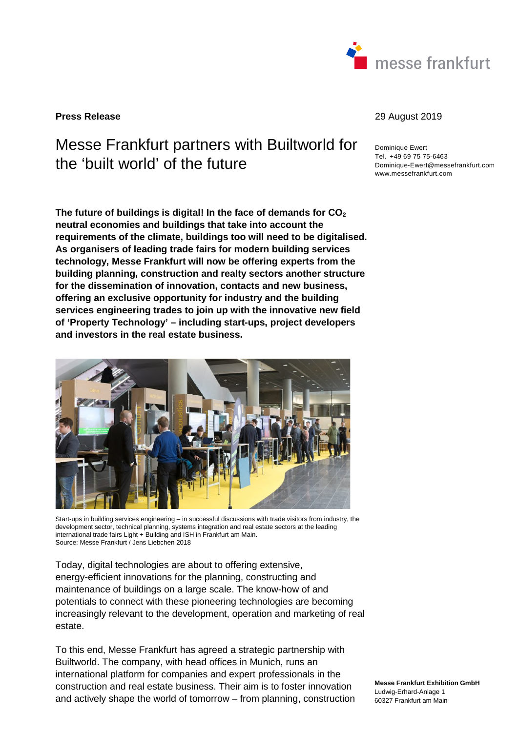

**Press Release** 29 August 2019

# Messe Frankfurt partners with Builtworld for the 'built world' of the future

**The future of buildings is digital! In the face of demands for CO<sup>2</sup> neutral economies and buildings that take into account the requirements of the climate, buildings too will need to be digitalised. As organisers of leading trade fairs for modern building services technology, Messe Frankfurt will now be offering experts from the building planning, construction and realty sectors another structure for the dissemination of innovation, contacts and new business, offering an exclusive opportunity for industry and the building services engineering trades to join up with the innovative new field of 'Property Technology' – including start-ups, project developers and investors in the real estate business.** 



Start-ups in building services engineering – in successful discussions with trade visitors from industry, the development sector, technical planning, systems integration and real estate sectors at the leading international trade fairs Light + Building and ISH in Frankfurt am Main. Source: Messe Frankfurt / Jens Liebchen 2018

Today, digital technologies are about to offering extensive, energy-efficient innovations for the planning, constructing and maintenance of buildings on a large scale. The know-how of and potentials to connect with these pioneering technologies are becoming increasingly relevant to the development, operation and marketing of real estate.

To this end, Messe Frankfurt has agreed a strategic partnership with Builtworld. The company, with head offices in Munich, runs an international platform for companies and expert professionals in the construction and real estate business. Their aim is to foster innovation and actively shape the world of tomorrow – from planning, construction

Dominique Ewert Tel. +49 69 75 75-6463 Dominique-Ewert@messefrankfurt.com www.messefrankfurt.com

**Messe Frankfurt Exhibition GmbH**  Ludwig-Erhard-Anlage 1 60327 Frankfurt am Main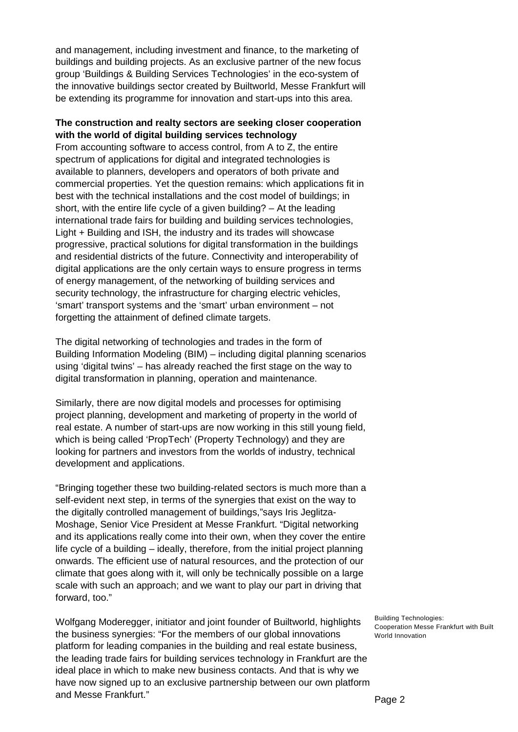and management, including investment and finance, to the marketing of buildings and building projects. As an exclusive partner of the new focus group 'Buildings & Building Services Technologies' in the eco-system of the innovative buildings sector created by Builtworld, Messe Frankfurt will be extending its programme for innovation and start-ups into this area.

## **The construction and realty sectors are seeking closer cooperation with the world of digital building services technology**

From accounting software to access control, from A to Z, the entire spectrum of applications for digital and integrated technologies is available to planners, developers and operators of both private and commercial properties. Yet the question remains: which applications fit in best with the technical installations and the cost model of buildings; in short, with the entire life cycle of a given building? – At the leading international trade fairs for building and building services technologies, Light + Building and ISH, the industry and its trades will showcase progressive, practical solutions for digital transformation in the buildings and residential districts of the future. Connectivity and interoperability of digital applications are the only certain ways to ensure progress in terms of energy management, of the networking of building services and security technology, the infrastructure for charging electric vehicles, 'smart' transport systems and the 'smart' urban environment – not forgetting the attainment of defined climate targets.

The digital networking of technologies and trades in the form of Building Information Modeling (BIM) – including digital planning scenarios using 'digital twins' – has already reached the first stage on the way to digital transformation in planning, operation and maintenance.

Similarly, there are now digital models and processes for optimising project planning, development and marketing of property in the world of real estate. A number of start-ups are now working in this still young field, which is being called 'PropTech' (Property Technology) and they are looking for partners and investors from the worlds of industry, technical development and applications.

"Bringing together these two building-related sectors is much more than a self-evident next step, in terms of the synergies that exist on the way to the digitally controlled management of buildings,"says Iris Jeglitza-Moshage, Senior Vice President at Messe Frankfurt. "Digital networking and its applications really come into their own, when they cover the entire life cycle of a building – ideally, therefore, from the initial project planning onwards. The efficient use of natural resources, and the protection of our climate that goes along with it, will only be technically possible on a large scale with such an approach; and we want to play our part in driving that forward, too."

Wolfgang Moderegger, initiator and joint founder of Builtworld, highlights the business synergies: "For the members of our global innovations platform for leading companies in the building and real estate business, the leading trade fairs for building services technology in Frankfurt are the ideal place in which to make new business contacts. And that is why we have now signed up to an exclusive partnership between our own platform and Messe Frankfurt."

Building Technologies: Cooperation Messe Frankfurt with Built World Innovation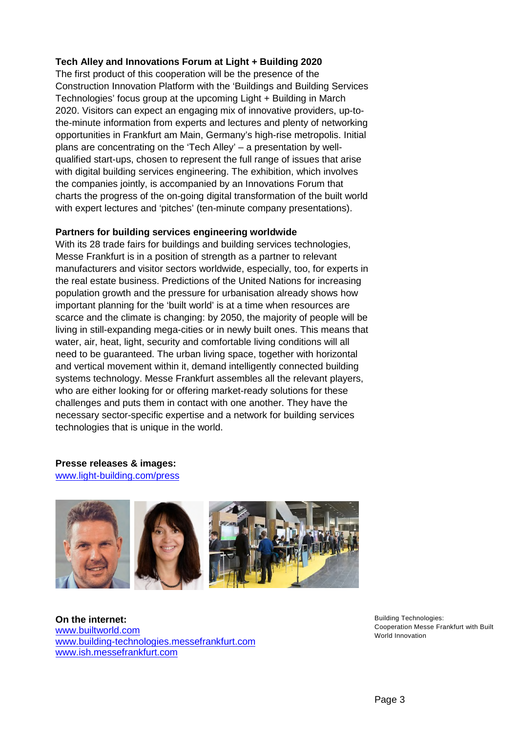# **Tech Alley and Innovations Forum at Light + Building 2020**

The first product of this cooperation will be the presence of the Construction Innovation Platform with the 'Buildings and Building Services Technologies' focus group at the upcoming Light + Building in March 2020. Visitors can expect an engaging mix of innovative providers, up-tothe-minute information from experts and lectures and plenty of networking opportunities in Frankfurt am Main, Germany's high-rise metropolis. Initial plans are concentrating on the 'Tech Alley' – a presentation by wellqualified start-ups, chosen to represent the full range of issues that arise with digital building services engineering. The exhibition, which involves the companies jointly, is accompanied by an Innovations Forum that charts the progress of the on-going digital transformation of the built world with expert lectures and 'pitches' (ten-minute company presentations).

### **Partners for building services engineering worldwide**

With its 28 trade fairs for buildings and building services technologies, Messe Frankfurt is in a position of strength as a partner to relevant manufacturers and visitor sectors worldwide, especially, too, for experts in the real estate business. Predictions of the United Nations for increasing population growth and the pressure for urbanisation already shows how important planning for the 'built world' is at a time when resources are scarce and the climate is changing: by 2050, the majority of people will be living in still-expanding mega-cities or in newly built ones. This means that water, air, heat, light, security and comfortable living conditions will all need to be guaranteed. The urban living space, together with horizontal and vertical movement within it, demand intelligently connected building systems technology. Messe Frankfurt assembles all the relevant players, who are either looking for or offering market-ready solutions for these challenges and puts them in contact with one another. They have the necessary sector-specific expertise and a network for building services technologies that is unique in the world.

**Presse releases & images:**  [www.light-building.com/press](http://www.light-building.com/press)



**On the internet:**  [www.builtworld.com](http://www.builtworld.com/) [www.building-technologies.messefrankfurt.com](https://technology.messefrankfurt.com/frankfurt/de/branchen/building-technologies.html)  [www.ish.messefrankfurt.com](https://ish.messefrankfurt.com/frankfurt/de.html)

Building Technologies: Cooperation Messe Frankfurt with Built World Innovation